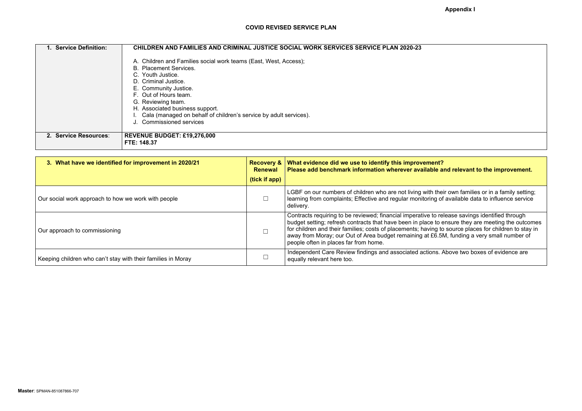| 1. Service Definition: | <b>CHILDREN AND FAMILIES AND CRIMINAL JUSTICE SOCIAL WORK SERVICES SERVICE PLAN 2020-23</b>                                |
|------------------------|----------------------------------------------------------------------------------------------------------------------------|
|                        | A. Children and Families social work teams (East, West, Access);<br><b>B. Placement Services.</b><br>C. Youth Justice.     |
|                        | D. Criminal Justice.<br>E. Community Justice.<br>F. Out of Hours team.                                                     |
|                        | G. Reviewing team.<br>H. Associated business support.<br>Cala (managed on behalf of children's service by adult services). |
|                        | <b>Commissioned services</b>                                                                                               |
| 2. Service Resources:  | <b>REVENUE BUDGET: £19,276,000</b><br>FTE: 148.37                                                                          |

| 3. What have we identified for improvement in 2020/21        | <b>Recovery &amp;</b><br><b>Renewal</b><br>(tick if app) | What evidence did we use to identify this improvement?<br>Please add benchmark information wherever available and relevant to the improvement.                                                                                                                                                                                                                                                                                                      |
|--------------------------------------------------------------|----------------------------------------------------------|-----------------------------------------------------------------------------------------------------------------------------------------------------------------------------------------------------------------------------------------------------------------------------------------------------------------------------------------------------------------------------------------------------------------------------------------------------|
| Our social work approach to how we work with people          |                                                          | LGBF on our numbers of children who are not living with their own families or in a family setting;<br>learning from complaints; Effective and regular monitoring of available data to influence service<br>delivery.                                                                                                                                                                                                                                |
| Our approach to commissioning                                |                                                          | Contracts requiring to be reviewed; financial imperative to release savings identified through<br>budget setting; refresh contracts that have been in place to ensure they are meeting the outcomes<br>for children and their families; costs of placements; having to source places for children to stay in<br>away from Moray; our Out of Area budget remaining at £6.5M, funding a very small number of<br>people often in places far from home. |
| Keeping children who can't stay with their families in Moray |                                                          | Independent Care Review findings and associated actions. Above two boxes of evidence are<br>equally relevant here too.                                                                                                                                                                                                                                                                                                                              |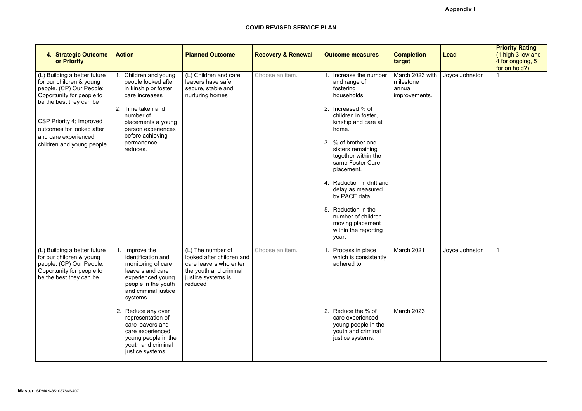# **Appendix I**

| 4. Strategic Outcome<br>or Priority                                                                                                          | <b>Action</b>                                                                                                                                              | <b>Planned Outcome</b>                                                                                                              | <b>Recovery &amp; Renewal</b> | <b>Outcome measures</b>                                                                                 | <b>Completion</b><br>target                             | <b>Lead</b>    | <b>Priority Rating</b><br>(1 high 3 low and<br>4 for ongoing, 5<br>for on hold?) |
|----------------------------------------------------------------------------------------------------------------------------------------------|------------------------------------------------------------------------------------------------------------------------------------------------------------|-------------------------------------------------------------------------------------------------------------------------------------|-------------------------------|---------------------------------------------------------------------------------------------------------|---------------------------------------------------------|----------------|----------------------------------------------------------------------------------|
| (L) Building a better future<br>for our children & young<br>people. (CP) Our People:<br>Opportunity for people to<br>be the best they can be | Children and young<br>people looked after<br>in kinship or foster<br>care increases                                                                        | (L) Children and care<br>leavers have safe,<br>secure, stable and<br>nurturing homes                                                | Choose an item.               | Increase the number<br>and range of<br>fostering<br>households.                                         | March 2023 with<br>milestone<br>annual<br>improvements. | Joyce Johnston |                                                                                  |
| CSP Priority 4; Improved<br>outcomes for looked after                                                                                        | 2. Time taken and<br>number of<br>placements a young<br>person experiences<br>before achieving                                                             |                                                                                                                                     |                               | Increased % of<br>2.<br>children in foster,<br>kinship and care at<br>home.                             |                                                         |                |                                                                                  |
| and care experienced<br>children and young people.                                                                                           | permanence<br>reduces.                                                                                                                                     |                                                                                                                                     |                               | % of brother and<br>3.<br>sisters remaining<br>together within the<br>same Foster Care<br>placement.    |                                                         |                |                                                                                  |
|                                                                                                                                              |                                                                                                                                                            |                                                                                                                                     |                               | 4. Reduction in drift and<br>delay as measured<br>by PACE data.                                         |                                                         |                |                                                                                  |
|                                                                                                                                              |                                                                                                                                                            |                                                                                                                                     |                               | 5. Reduction in the<br>number of children<br>moving placement<br>within the reporting<br>year.          |                                                         |                |                                                                                  |
| (L) Building a better future<br>for our children & young<br>people. (CP) Our People:<br>Opportunity for people to<br>be the best they can be | Improve the<br>identification and<br>monitoring of care<br>leavers and care<br>experienced young<br>people in the youth<br>and criminal justice<br>systems | (L) The number of<br>looked after children and<br>care leavers who enter<br>the youth and criminal<br>justice systems is<br>reduced | Choose an item.               | Process in place<br>which is consistently<br>adhered to.                                                | March 2021                                              | Joyce Johnston |                                                                                  |
|                                                                                                                                              | 2. Reduce any over<br>representation of<br>care leavers and<br>care experienced<br>young people in the<br>youth and criminal<br>justice systems            |                                                                                                                                     |                               | 2. Reduce the % of<br>care experienced<br>young people in the<br>youth and criminal<br>justice systems. | March 2023                                              |                |                                                                                  |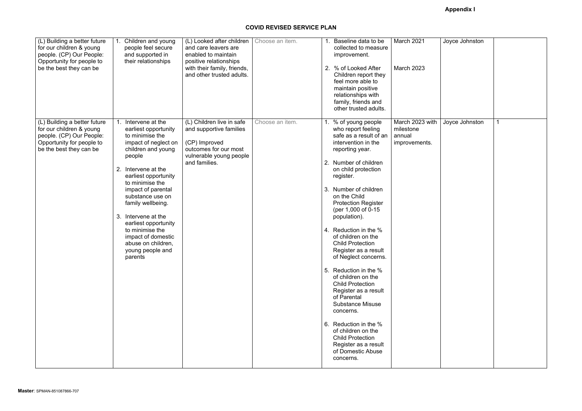| (L) Building a better future<br>for our children & young<br>people. (CP) Our People:<br>Opportunity for people to<br>be the best they can be | Children and young<br>people feel secure<br>and supported in<br>their relationships                                                                                                                                                                                                                                                                                                                     | (L) Looked after children<br>and care leavers are<br>enabled to maintain<br>positive relationships<br>with their family, friends,<br>and other trusted adults. | Choose an item. | 1. Baseline data to be<br>collected to measure<br>improvement.<br>2. % of Looked After<br>Children report they<br>feel more able to<br>maintain positive<br>relationships with<br>family, friends and<br>other trusted adults.                                                                                                                                                                                                                                                                                                                                                                                                                                                                                   | March 2021<br><b>March 2023</b>                         |
|----------------------------------------------------------------------------------------------------------------------------------------------|---------------------------------------------------------------------------------------------------------------------------------------------------------------------------------------------------------------------------------------------------------------------------------------------------------------------------------------------------------------------------------------------------------|----------------------------------------------------------------------------------------------------------------------------------------------------------------|-----------------|------------------------------------------------------------------------------------------------------------------------------------------------------------------------------------------------------------------------------------------------------------------------------------------------------------------------------------------------------------------------------------------------------------------------------------------------------------------------------------------------------------------------------------------------------------------------------------------------------------------------------------------------------------------------------------------------------------------|---------------------------------------------------------|
| (L) Building a better future<br>for our children & young<br>people. (CP) Our People:<br>Opportunity for people to<br>be the best they can be | Intervene at the<br>earliest opportunity<br>to minimise the<br>impact of neglect on<br>children and young<br>people<br>Intervene at the<br>2.<br>earliest opportunity<br>to minimise the<br>impact of parental<br>substance use on<br>family wellbeing.<br>Intervene at the<br>3.<br>earliest opportunity<br>to minimise the<br>impact of domestic<br>abuse on children,<br>young people and<br>parents | (L) Children live in safe<br>and supportive families<br>(CP) Improved<br>outcomes for our most<br>vulnerable young people<br>and families.                     | Choose an item. | 1. % of young people<br>who report feeling<br>safe as a result of an<br>intervention in the<br>reporting year.<br>2. Number of children<br>on child protection<br>register.<br>3. Number of children<br>on the Child<br><b>Protection Register</b><br>(per 1,000 of 0-15)<br>population).<br>4. Reduction in the %<br>of children on the<br><b>Child Protection</b><br>Register as a result<br>of Neglect concerns.<br>5. Reduction in the %<br>of children on the<br><b>Child Protection</b><br>Register as a result<br>of Parental<br><b>Substance Misuse</b><br>concerns.<br>6. Reduction in the %<br>of children on the<br><b>Child Protection</b><br>Register as a result<br>of Domestic Abuse<br>concerns. | March 2023 with<br>milestone<br>annual<br>improvements. |

| Joyce Johnston |                |
|----------------|----------------|
|                |                |
|                |                |
|                |                |
|                |                |
|                |                |
|                |                |
|                |                |
|                |                |
|                |                |
|                |                |
|                |                |
|                |                |
|                |                |
|                |                |
|                |                |
| Joyce Johnston | $\overline{1}$ |
|                |                |
|                |                |
|                |                |
|                |                |
|                |                |
|                |                |
|                |                |
|                |                |
|                |                |
|                |                |
|                |                |
|                |                |
|                |                |
|                |                |
|                |                |
|                |                |
|                |                |
|                |                |
|                |                |
|                |                |
|                |                |
|                |                |
|                |                |
|                |                |
|                |                |
|                |                |
|                |                |
|                |                |
|                |                |
|                |                |
|                |                |
|                |                |
|                |                |
|                |                |
|                |                |
|                |                |
|                |                |
|                |                |
|                |                |
|                |                |
|                |                |
|                |                |
|                |                |
|                |                |
|                |                |
|                |                |
|                |                |
|                |                |
|                |                |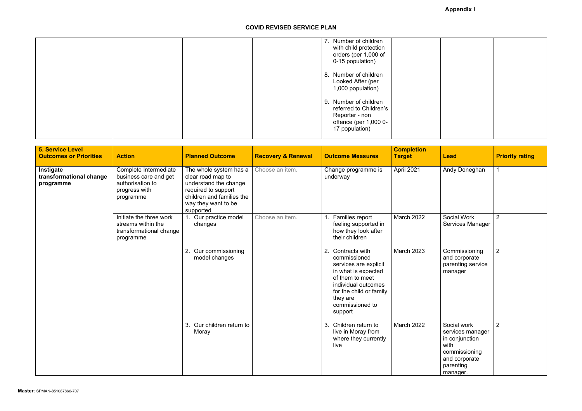|  | 7. Number of children  |  |
|--|------------------------|--|
|  | with child protection  |  |
|  | orders (per 1,000 of   |  |
|  | 0-15 population)       |  |
|  | 8. Number of children  |  |
|  | Looked After (per      |  |
|  | 1,000 population)      |  |
|  |                        |  |
|  | 9. Number of children  |  |
|  | referred to Children's |  |
|  | Reporter - non         |  |
|  | offence (per 1,000 0-  |  |
|  | 17 population)         |  |
|  |                        |  |

| <b>5. Service Level</b><br><b>Outcomes or Priorities</b> | <b>Action</b>                                                                                    | <b>Planned Outcome</b>                                                                                                                                       | <b>Recovery &amp; Renewal</b> | <b>Outcome Measures</b>                                                                                                                                                                             | <b>Completion</b><br><b>Target</b> | <b>Lead</b>                                                                                                          | <b>Priority rating</b> |
|----------------------------------------------------------|--------------------------------------------------------------------------------------------------|--------------------------------------------------------------------------------------------------------------------------------------------------------------|-------------------------------|-----------------------------------------------------------------------------------------------------------------------------------------------------------------------------------------------------|------------------------------------|----------------------------------------------------------------------------------------------------------------------|------------------------|
| Instigate<br>transformational change<br>programme        | Complete Intermediate<br>business care and get<br>authorisation to<br>progress with<br>programme | The whole system has a<br>clear road map to<br>understand the change<br>required to support<br>children and families the<br>way they want to be<br>supported | Choose an item.               | Change programme is<br>underway                                                                                                                                                                     | April 2021                         | Andy Doneghan                                                                                                        |                        |
|                                                          | Initiate the three work<br>streams within the<br>transformational change<br>programme            | Our practice model<br>changes                                                                                                                                | Choose an item.               | Families report<br>1 <sub>1</sub><br>feeling supported in<br>how they look after<br>their children                                                                                                  | <b>March 2022</b>                  | Social Work<br>Services Manager                                                                                      | $\overline{2}$         |
|                                                          |                                                                                                  | Our commissioning<br>2.<br>model changes                                                                                                                     |                               | 2.<br>Contracts with<br>commissioned<br>services are explicit<br>in what is expected<br>of them to meet<br>individual outcomes<br>for the child or family<br>they are<br>commissioned to<br>support | March 2023                         | Commissioning<br>and corporate<br>parenting service<br>manager                                                       | $\overline{2}$         |
|                                                          |                                                                                                  | Our children return to<br>3.<br>Moray                                                                                                                        |                               | Children return to<br>3.<br>live in Moray from<br>where they currently<br>live                                                                                                                      | <b>March 2022</b>                  | Social work<br>services manager<br>in conjunction<br>with<br>commissioning<br>and corporate<br>parenting<br>manager. | $\overline{2}$         |